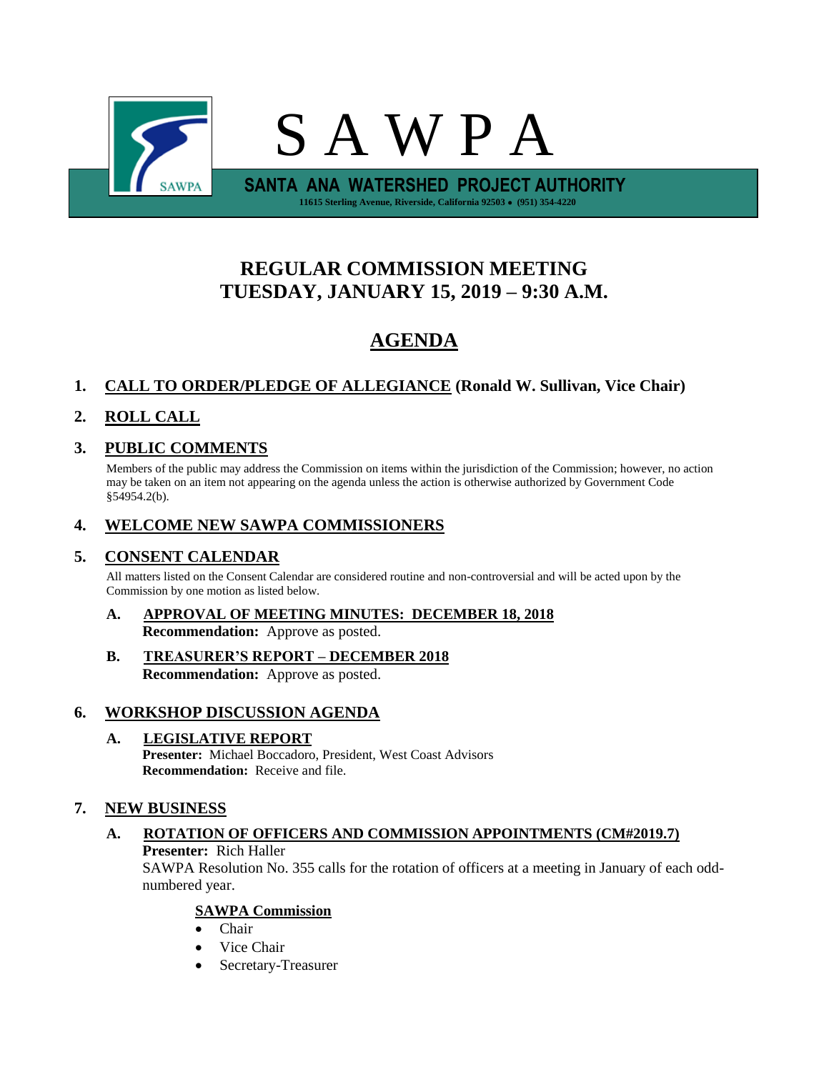

# **REGULAR COMMISSION MEETING TUESDAY, JANUARY 15, 2019 – 9:30 A.M.**

# **AGENDA**

# **1. CALL TO ORDER/PLEDGE OF ALLEGIANCE (Ronald W. Sullivan, Vice Chair)**

# **2. ROLL CALL**

# **3. PUBLIC COMMENTS**

Members of the public may address the Commission on items within the jurisdiction of the Commission; however, no action may be taken on an item not appearing on the agenda unless the action is otherwise authorized by Government Code §54954.2(b).

# **4. WELCOME NEW SAWPA COMMISSIONERS**

# **5. CONSENT CALENDAR**

All matters listed on the Consent Calendar are considered routine and non-controversial and will be acted upon by the Commission by one motion as listed below.

- **A. APPROVAL OF MEETING MINUTES: DECEMBER 18, 2018 Recommendation:** Approve as posted.
- **B. TREASURER'S REPORT – DECEMBER 2018 Recommendation:** Approve as posted.

# **6. WORKSHOP DISCUSSION AGENDA**

# **A. LEGISLATIVE REPORT**

**Presenter:** Michael Boccadoro, President, West Coast Advisors **Recommendation:** Receive and file.

# **7. NEW BUSINESS**

# **A. ROTATION OF OFFICERS AND COMMISSION APPOINTMENTS (CM#2019.7) Presenter:** Rich Haller

SAWPA Resolution No. 355 calls for the rotation of officers at a meeting in January of each oddnumbered year.

# **SAWPA Commission**

- Chair
- Vice Chair
- Secretary-Treasurer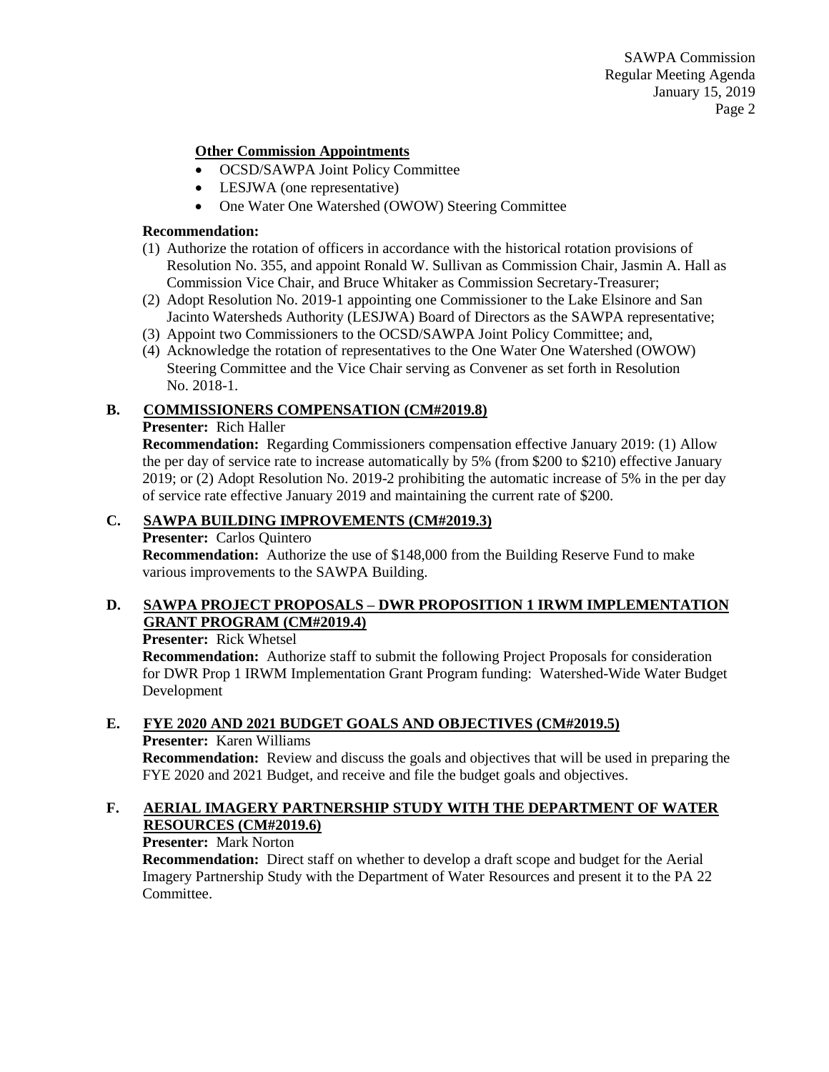SAWPA Commission Regular Meeting Agenda January 15, 2019 Page 2

### **Other Commission Appointments**

- OCSD/SAWPA Joint Policy Committee
- LESJWA (one representative)
- One Water One Watershed (OWOW) Steering Committee

#### **Recommendation:**

- (1) Authorize the rotation of officers in accordance with the historical rotation provisions of Resolution No. 355, and appoint Ronald W. Sullivan as Commission Chair, Jasmin A. Hall as Commission Vice Chair, and Bruce Whitaker as Commission Secretary-Treasurer;
- (2) Adopt Resolution No. 2019-1 appointing one Commissioner to the Lake Elsinore and San Jacinto Watersheds Authority (LESJWA) Board of Directors as the SAWPA representative;
- (3) Appoint two Commissioners to the OCSD/SAWPA Joint Policy Committee; and,
- (4) Acknowledge the rotation of representatives to the One Water One Watershed (OWOW) Steering Committee and the Vice Chair serving as Convener as set forth in Resolution No. 2018-1.

#### **B. COMMISSIONERS COMPENSATION (CM#2019.8)**

#### **Presenter:** Rich Haller

**Recommendation:** Regarding Commissioners compensation effective January 2019: (1) Allow the per day of service rate to increase automatically by 5% (from \$200 to \$210) effective January 2019; or (2) Adopt Resolution No. 2019-2 prohibiting the automatic increase of 5% in the per day of service rate effective January 2019 and maintaining the current rate of \$200.

#### **C. SAWPA BUILDING IMPROVEMENTS (CM#2019.3)**

#### **Presenter:** Carlos Quintero

**Recommendation:** Authorize the use of \$148,000 from the Building Reserve Fund to make various improvements to the SAWPA Building.

# **D. SAWPA PROJECT PROPOSALS – DWR PROPOSITION 1 IRWM IMPLEMENTATION GRANT PROGRAM (CM#2019.4)**

**Presenter:** Rick Whetsel

**Recommendation:** Authorize staff to submit the following Project Proposals for consideration for DWR Prop 1 IRWM Implementation Grant Program funding: Watershed-Wide Water Budget Development

#### **E. FYE 2020 AND 2021 BUDGET GOALS AND OBJECTIVES (CM#2019.5)**

#### **Presenter:** Karen Williams

**Recommendation:** Review and discuss the goals and objectives that will be used in preparing the FYE 2020 and 2021 Budget, and receive and file the budget goals and objectives.

# **F. AERIAL IMAGERY PARTNERSHIP STUDY WITH THE DEPARTMENT OF WATER RESOURCES (CM#2019.6)**

# **Presenter:** Mark Norton

**Recommendation:** Direct staff on whether to develop a draft scope and budget for the Aerial Imagery Partnership Study with the Department of Water Resources and present it to the PA 22 Committee.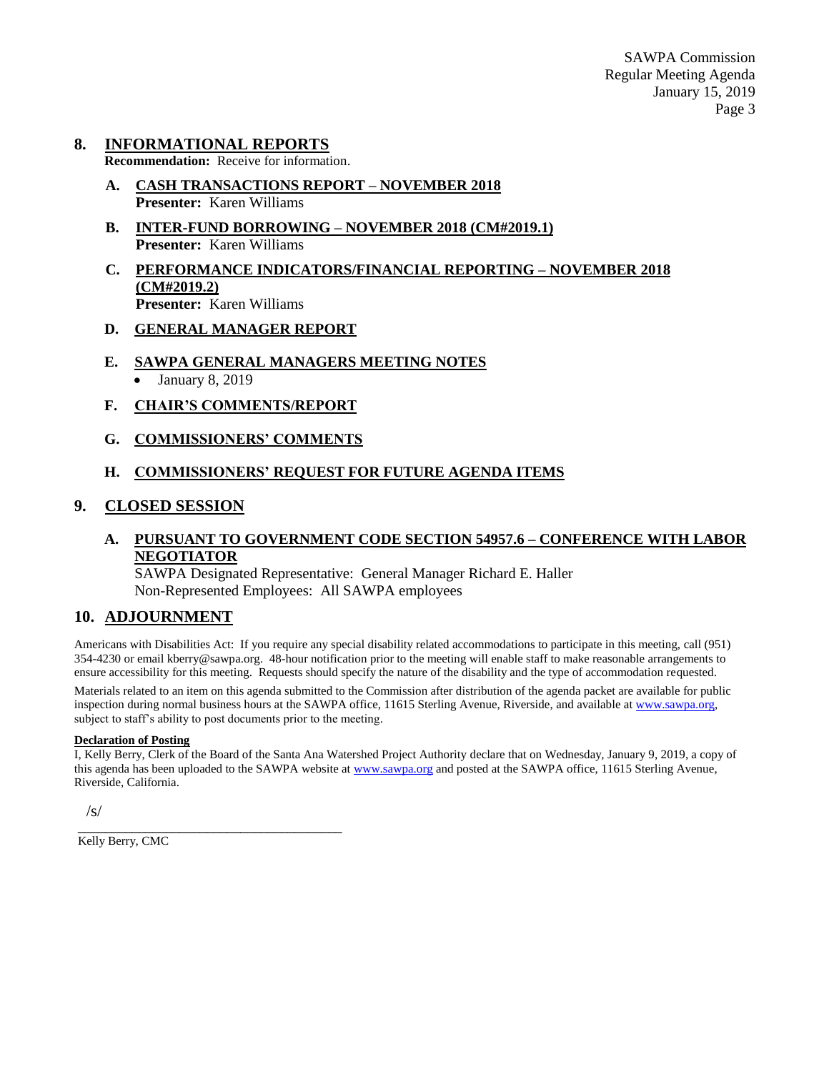SAWPA Commission Regular Meeting Agenda January 15, 2019 Page 3

#### **8. INFORMATIONAL REPORTS**

**Recommendation:** Receive for information.

- **A. CASH TRANSACTIONS REPORT – NOVEMBER 2018 Presenter:** Karen Williams
- **B. INTER-FUND BORROWING – NOVEMBER 2018 (CM#2019.1) Presenter:** Karen Williams
- **C. PERFORMANCE INDICATORS/FINANCIAL REPORTING – NOVEMBER 2018 (CM#2019.2) Presenter:** Karen Williams

#### **D. GENERAL MANAGER REPORT**

- **E. SAWPA GENERAL MANAGERS MEETING NOTES**
	- January 8, 2019
- **F. CHAIR'S COMMENTS/REPORT**
- **G. COMMISSIONERS' COMMENTS**

# **H. COMMISSIONERS' REQUEST FOR FUTURE AGENDA ITEMS**

#### **9. CLOSED SESSION**

# **A. PURSUANT TO GOVERNMENT CODE SECTION 54957.6 – CONFERENCE WITH LABOR NEGOTIATOR**

SAWPA Designated Representative: General Manager Richard E. Haller Non-Represented Employees: All SAWPA employees

# **10. ADJOURNMENT**

Americans with Disabilities Act: If you require any special disability related accommodations to participate in this meeting, call (951) 354-4230 or email kberry@sawpa.org. 48-hour notification prior to the meeting will enable staff to make reasonable arrangements to ensure accessibility for this meeting. Requests should specify the nature of the disability and the type of accommodation requested. Materials related to an item on this agenda submitted to the Commission after distribution of the agenda packet are available for public inspection during normal business hours at the SAWPA office, 11615 Sterling Avenue, Riverside, and available a[t www.sawpa.org,](http://www.sawpa.org/) subject to staff's ability to post documents prior to the meeting.

#### **Declaration of Posting**

I, Kelly Berry, Clerk of the Board of the Santa Ana Watershed Project Authority declare that on Wednesday, January 9, 2019, a copy of this agenda has been uploaded to the SAWPA website at [www.sawpa.org](http://www.sawpa.org/) and posted at the SAWPA office, 11615 Sterling Avenue, Riverside, California.

/s/

\_\_\_\_\_\_\_\_\_\_\_\_\_\_\_\_\_\_\_\_\_\_\_\_\_\_\_\_\_\_\_\_\_\_\_\_\_\_\_ Kelly Berry, CMC